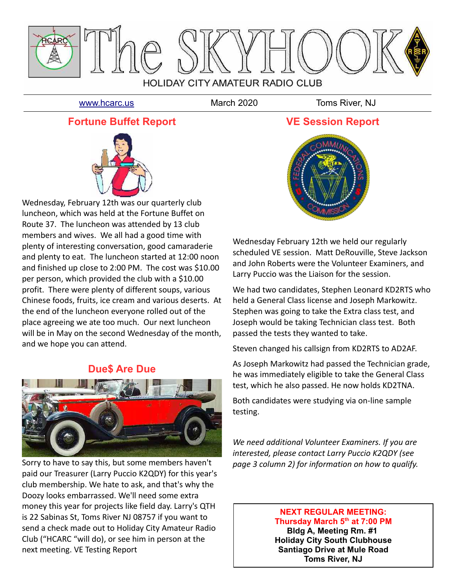

[www.hcarc.us](http://www.hcarc.us/) March 2020 Toms River, NJ

## **Fortune Buffet Report**



Wednesday, February 12th was our quarterly club luncheon, which was held at the Fortune Buffet on Route 37. The luncheon was attended by 13 club members and wives. We all had a good time with plenty of interesting conversation, good camaraderie and plenty to eat. The luncheon started at 12:00 noon and finished up close to 2:00 PM. The cost was \$10.00 per person, which provided the club with a \$10.00 profit. There were plenty of different soups, various Chinese foods, fruits, ice cream and various deserts. At the end of the luncheon everyone rolled out of the place agreeing we ate too much. Our next luncheon will be in May on the second Wednesday of the month, and we hope you can attend.

### **Due\$ Are Due**



Sorry to have to say this, but some members haven't paid our Treasurer (Larry Puccio K2QDY) for this year's club membership. We hate to ask, and that's why the Doozy looks embarrassed. We'll need some extra money this year for projects like field day. Larry's QTH is 22 Sabinas St, Toms River NJ 08757 if you want to send a check made out to Holiday City Amateur Radio Club ("HCARC "will do), or see him in person at the next meeting. VE Testing Report



Wednesday February 12th we held our regularly scheduled VE session. Matt DeRouville, Steve Jackson and John Roberts were the Volunteer Examiners, and Larry Puccio was the Liaison for the session.

We had two candidates, Stephen Leonard KD2RTS who held a General Class license and Joseph Markowitz. Stephen was going to take the Extra class test, and Joseph would be taking Technician class test. Both passed the tests they wanted to take.

Steven changed his callsign from KD2RTS to AD2AF.

As Joseph Markowitz had passed the Technician grade, he was immediately eligible to take the General Class test, which he also passed. He now holds KD2TNA.

Both candidates were studying via on-line sample testing.

*We need additional Volunteer Examiners. If you are interested, please contact Larry Puccio K2QDY (see page 3 column 2) for information on how to qualify.* 

### **NEXT REGULAR MEETING: Thursday March 5th at 7:00 PM**

**Bldg A, Meeting Rm. #1 Holiday City South Clubhouse Santiago Drive at Mule Road Toms River, NJ**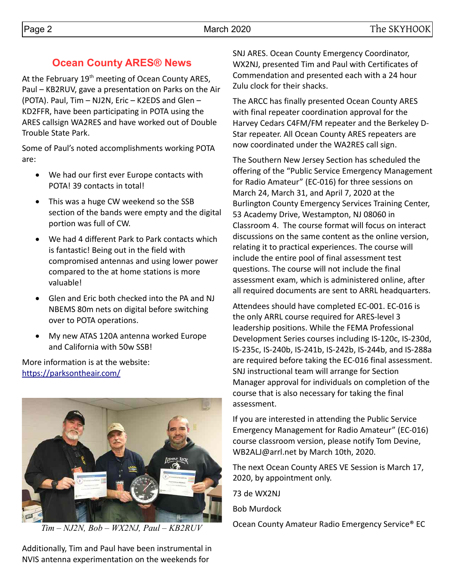## **Ocean County ARES® News**

At the February 19<sup>th</sup> meeting of Ocean County ARES, Paul – KB2RUV, gave a presentation on Parks on the Air (POTA). Paul, Tim – NJ2N, Eric – K2EDS and Glen – KD2FFR, have been participating in POTA using the ARES callsign WA2RES and have worked out of Double Trouble State Park.

Some of Paul's noted accomplishments working POTA are:

- We had our first ever Europe contacts with POTA! 39 contacts in total!
- This was a huge CW weekend so the SSB section of the bands were empty and the digital portion was full of CW.
- We had 4 different Park to Park contacts which is fantastic! Being out in the field with compromised antennas and using lower power compared to the at home stations is more valuable!
- Glen and Eric both checked into the PA and NJ NBEMS 80m nets on digital before switching over to POTA operations.
- My new ATAS 120A antenna worked Europe and California with 50w SSB!

More information is at the website: <https://parksontheair.com/>



Additionally, Tim and Paul have been instrumental in NVIS antenna experimentation on the weekends for

SNJ ARES. Ocean County Emergency Coordinator, WX2NJ, presented Tim and Paul with Certificates of Commendation and presented each with a 24 hour Zulu clock for their shacks.

The ARCC has finally presented Ocean County ARES with final repeater coordination approval for the Harvey Cedars C4FM/FM repeater and the Berkeley D-Star repeater. All Ocean County ARES repeaters are now coordinated under the WA2RES call sign.

The Southern New Jersey Section has scheduled the offering of the "Public Service Emergency Management for Radio Amateur" (EC-016) for three sessions on March 24, March 31, and April 7, 2020 at the Burlington County Emergency Services Training Center, 53 Academy Drive, Westampton, NJ 08060 in Classroom 4. The course format will focus on interact discussions on the same content as the online version, relating it to practical experiences. The course will include the entire pool of final assessment test questions. The course will not include the final assessment exam, which is administered online, after all required documents are sent to ARRL headquarters.

Attendees should have completed EC-001. EC-016 is the only ARRL course required for ARES-level 3 leadership positions. While the FEMA Professional Development Series courses including IS-120c, IS-230d, IS-235c, IS-240b, IS-241b, IS-242b, IS-244b, and IS-288a are required before taking the EC-016 final assessment. SNJ instructional team will arrange for Section Manager approval for individuals on completion of the course that is also necessary for taking the final assessment.

If you are interested in attending the Public Service Emergency Management for Radio Amateur" (EC-016) course classroom version, please notify Tom Devine, WB2ALJ@arrl.net by March 10th, 2020.

The next Ocean County ARES VE Session is March 17, 2020, by appointment only.

73 de WX2NJ

Bob Murdock

Ocean County Amateur Radio Emergency Service® EC *Tim – NJ2N, Bob – WX2NJ, Paul – KB2RUV*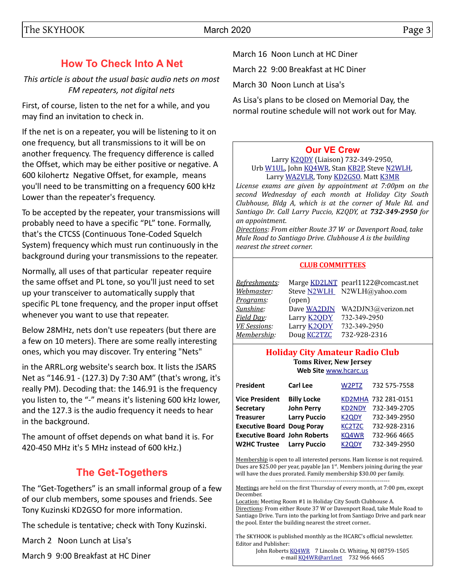# **How To Check Into A Net**

*This article is about the usual basic audio nets on most FM repeaters, not digital nets*

First, of course, listen to the net for a while, and you may find an invitation to check in.

If the net is on a repeater, you will be listening to it on one frequency, but all transmissions to it will be on another frequency. The frequency difference is called the Offset, which may be either positive or negative. A 600 kilohertz Negative Offset, for example, means you'll need to be transmitting on a frequency 600 kHz Lower than the repeater's frequency.

To be accepted by the repeater, your transmissions will probably need to have a specific "PL" tone. Formally, that's the CTCSS (Continuous Tone-Coded Squelch System) frequency which must run continuously in the background during your transmissions to the repeater.

Normally, all uses of that particular repeater require the same offset and PL tone, so you'll just need to set up your transceiver to automatically supply that specific PL tone frequency, and the proper input offset whenever you want to use that repeater.

Below 28MHz, nets don't use repeaters (but there are a few on 10 meters). There are some really interesting ones, which you may discover. Try entering "Nets"

in the ARRL.org website's search box. It lists the JSARS Net as "146.91 - (127.3) Dy 7:30 AM" (that's wrong, it's really PM). Decoding that: the 146.91 is the frequency you listen to, the "-" means it's listening 600 kHz lower, and the 127.3 is the audio frequency it needs to hear in the background.

The amount of offset depends on what band it is. For 420-450 MHz it's 5 MHz instead of 600 kHz.)

# **The Get-Togethers**

The "Get-Togethers" is an small informal group of a few of our club members, some spouses and friends. See Tony Kuzinski KD2GSO for more information.

The schedule is tentative; check with Tony Kuzinski.

March 2 Noon Lunch at Lisa's

March 9 9:00 Breakfast at HC Diner

March 16 Noon Lunch at HC Diner

March 22 9:00 Breakfast at HC Diner

March 30 Noon Lunch at Lisa's

As Lisa's plans to be closed on Memorial Day, the normal routine schedule will not work out for May.

### **[Our VE Crew](mailto:lpuccio1@comcast.net?subject=VE)**

Larry [K2QDY](mailto:lpuccio071@gmail.com) (Liaison) 732-349-2950, Urb [W1UL,](mailto:urb@W1UL.com) John [KQ4WR,](mailto:kq4wr@arrl.net) Stan [KB2P,](mailto:kb2pd@hotmail.com) Steve [N2WLH,](mailto:n2wlh@yahoo.com) Larry [WA2VLR,](mailto:lloscalz@optonline.net) Tony [KD2GSO.](mailto:tonyk613@comcast.net) Matt [K3MR](mailto:baltimatt@verizon.net)

*License exams are given by appointment at 7:00pm on the second Wednesday of each month at Holiday City South Clubhouse, Bldg A, which is at the corner of Mule Rd. and Santiago Dr. Call Larry Puccio, K2QDY, at 732-349-2950 for an appointment.* 

*Directions: From either Route 37 W or Davenport Road, take Mule Road to Santiago Drive. Clubhouse A is the building nearest the street corner.*

#### **CLUB COMMITTEES**

| Refreshments:       |                    | Marge KD2LNT pearl1122@comcast.net |
|---------------------|--------------------|------------------------------------|
| Webmaster:          |                    | Steve N2WLH N2WLH@yahoo.com        |
| Programs:           | (open)             |                                    |
| Sunshine:           | Dave WA2DJN        | WA2DJN3@verizon.net                |
| Field Day:          | Larry <b>K2QDY</b> | 732-349-2950                       |
| <b>VE Sessions:</b> | Larry <b>K2QDY</b> | 732-349-2950                       |
| Membership:         | Doug <b>KC2TZC</b> | 732-928-2316                       |

#### **Holiday City Amateur Radio Club Toms River, New Jersey Web Site** [www.hcarc.us](http://www.hcarc.us/)

| President<br><b>Carl Lee</b><br>732 575-7558<br>W2PTZ                            |
|----------------------------------------------------------------------------------|
| <b>Billy Locke</b><br><b>Vice President</b><br>KD2MHA 732 281-0151               |
| <b>John Perry</b><br>732-349-2705<br>Secretary<br><b>KD2NDY</b>                  |
| <b>Larry Puccio</b><br><b>Treasurer</b><br>732-349-2950<br>K2QDY                 |
| <b>Executive Board Doug Poray</b><br>732-928-2316<br><b>KC2TZC</b>               |
| <b>Executive Board John Roberts</b><br>KQ4WR<br>732-966 4665                     |
| 732-349-2950<br><b>W2HC Trustee</b><br><b>Larry Puccio</b><br>K <sub>2</sub> ODY |

Membership is open to all interested persons. Ham license is not required. Dues are \$25.00 per year, payable Jan  $1<sup>st</sup>$ . Members joining during the year will have the dues prorated. Family membership \$30.00 per family.

---------------------------------------------------------- Meetings are held on the first Thursday of every month, at 7:00 pm, except December.

Location: Meeting Room #1 in Holiday City South Clubhouse A. Directions: From either Route 37 W or Davenport Road, take Mule Road to Santiago Drive. Turn into the parking lot from Santiago Drive and park near the pool. Enter the building nearest the street corner..

The SKYHOOK is published monthly as the HCARC's official newsletter. Editor and Publisher:

John Roberts [KQ4WR](mailto:kq4wr@arrl.net) 7 Lincoln Ct. Whiting, NJ 08759-1505 e-mail [KQ4WR@arrl.net](mailto:KQ4WR@arrl.net) 732 966 4665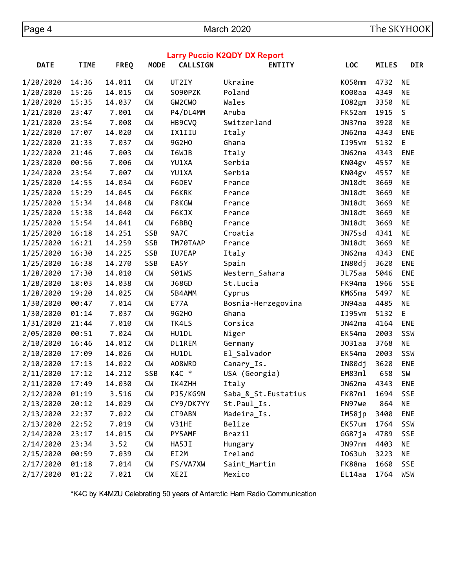| <b>Larry Puccio K2QDY DX Report</b> |             |             |             |                 |                      |                    |              |            |  |  |  |
|-------------------------------------|-------------|-------------|-------------|-----------------|----------------------|--------------------|--------------|------------|--|--|--|
| <b>DATE</b>                         | <b>TIME</b> | <b>FREQ</b> | <b>MODE</b> | <b>CALLSIGN</b> | <b>ENTITY</b>        | <b>LOC</b>         | <b>MILES</b> | <b>DIR</b> |  |  |  |
| 1/20/2020                           | 14:36       | 14.011      | <b>CM</b>   | UT2IY           | Ukraine              | K050mm             | 4732         | ΝE         |  |  |  |
| 1/20/2020                           | 15:26       | 14.015      | <b>CW</b>   | S090PZK         | Poland               | K000aa             | 4349         | <b>NE</b>  |  |  |  |
| 1/20/2020                           | 15:35       | 14.037      | <b>CM</b>   | GW2CWO          | Wales                | I082gm             | 3350         | <b>NE</b>  |  |  |  |
| 1/21/2020                           | 23:47       | 7.001       | <b>CM</b>   | P4/DL4MM        | Aruba                | FK52am             | 1915         | S          |  |  |  |
| 1/21/2020                           | 23:54       | 7.008       | <b>CM</b>   | HB9CVQ          | Switzerland          | JN37ma             | 3920         | <b>NE</b>  |  |  |  |
| 1/22/2020                           | 17:07       | 14.020      | <b>CM</b>   | IX1IIU          | Italy                | JN62ma             | 4343         | <b>ENE</b> |  |  |  |
| 1/22/2020                           | 21:33       | 7.037       | <b>CM</b>   | 9G2H0           | Ghana                | IJ95vm             | 5132         | E,         |  |  |  |
| 1/22/2020                           | 21:46       | 7.003       | <b>CM</b>   | I6WJB           | Italy                | JN62ma             | 4343         | ENE        |  |  |  |
| 1/23/2020                           | 00:56       | 7.006       | <b>CW</b>   | YU1XA           | Serbia               | KN04gv             | 4557         | NE         |  |  |  |
| 1/24/2020                           | 23:54       | 7.007       | <b>CM</b>   | YU1XA           | Serbia               | KN04gv             | 4557         | <b>NE</b>  |  |  |  |
| 1/25/2020                           | 14:55       | 14.034      | <b>CM</b>   | F6DEV           | France               | JN18dt             | 3669         | <b>NE</b>  |  |  |  |
| 1/25/2020                           | 15:29       | 14.045      | <b>CM</b>   | F6KRK           | France               | JN18dt             | 3669         | <b>NE</b>  |  |  |  |
| 1/25/2020                           | 15:34       | 14.048      | <b>CM</b>   | F8KGW           | France               | JN18dt             | 3669         | <b>NE</b>  |  |  |  |
| 1/25/2020                           | 15:38       | 14.040      | <b>CM</b>   | F6KJX           | France               | JN18dt             | 3669         | <b>NE</b>  |  |  |  |
| 1/25/2020                           | 15:54       | 14.041      | <b>CM</b>   | F6BBQ           | France               | JN18dt             | 3669         | <b>NE</b>  |  |  |  |
| 1/25/2020                           | 16:18       | 14.251      | SSB         | 9A7C            | Croatia              | JN75sd             | 4341         | NE         |  |  |  |
| 1/25/2020                           | 16:21       | 14.259      | SSB         | TM70TAAP        | France               | JN18dt             | 3669         | <b>NE</b>  |  |  |  |
| 1/25/2020                           | 16:30       | 14.225      | SSB         | IU7EAP          | Italy                | JN62ma             | 4343         | ENE        |  |  |  |
| 1/25/2020                           | 16:38       | 14.270      | SSB         | EA5Y            | Spain                | IN80dj             | 3620         | ENE        |  |  |  |
| 1/28/2020                           | 17:30       | 14.010      | <b>CM</b>   | S01WS           | Western_Sahara       | JL75aa             | 5046         | ENE        |  |  |  |
| 1/28/2020                           | 18:03       | 14.038      | <b>CM</b>   | <b>J68GD</b>    | St.Lucia             | FK94ma             | 1966         | <b>SSE</b> |  |  |  |
| 1/28/2020                           | 19:20       | 14.025      | <b>CM</b>   | 5B4AMM          | Cyprus               | KM65ma             | 5497         | <b>NE</b>  |  |  |  |
| 1/30/2020                           | 00:47       | 7.014       | <b>CM</b>   | <b>E77A</b>     | Bosnia-Herzegovina   | JN94aa             | 4485         | <b>NE</b>  |  |  |  |
| 1/30/2020                           | 01:14       | 7.037       | <b>CM</b>   | 9G2H0           | Ghana                | IJ95vm             | 5132         | E          |  |  |  |
| 1/31/2020                           | 21:44       | 7.010       | <b>CM</b>   | TK4LS           | Corsica              | JN42ma             | 4164         | ENE        |  |  |  |
| 2/05/2020                           | 00:51       | 7.024       | <b>CM</b>   | HU1DL           | Niger                | EK54ma             | 2003         | SSW        |  |  |  |
| 2/10/2020                           | 16:46       | 14.012      | <b>CM</b>   | DL1REM          | Germany              | J <sub>031aa</sub> | 3768         | <b>NE</b>  |  |  |  |
| 2/10/2020                           | 17:09       | 14.026      | <b>CM</b>   | HU1DL           | El_Salvador          | EK54ma             | 2003         | SSW        |  |  |  |
| 2/10/2020                           | 17:13       | 14.022      | <b>CM</b>   | A08WRD          | Canary_Is.           | IN80dj             | 3620         | ENE        |  |  |  |
| 2/11/2020                           | 17:12       | 14.212      | SSB         | $K4C$ *         | USA (Georgia)        | EM83ml             | 658          | <b>SW</b>  |  |  |  |
| 2/11/2020                           | 17:49       | 14.030      | <b>CM</b>   | IK4ZHH          | Italy                | JN62ma             | 4343         | <b>ENE</b> |  |  |  |
| 2/12/2020                           | 01:19       | 3.516       | <b>CM</b>   | PJ5/KG9N        | Saba & St. Eustatius | FK87ml             | 1694         | <b>SSE</b> |  |  |  |
| 2/13/2020                           | 20:12       | 14.029      | <b>CM</b>   | CY9/DK7YY       | St.Paul_Is.          | FN97we             | 864          | NE         |  |  |  |
| 2/13/2020                           | 22:37       | 7.022       | <b>CM</b>   | CT9ABN          | Madeira_Is.          | IM58jp             | 3400         | ENE        |  |  |  |
| 2/13/2020                           | 22:52       | 7.019       | <b>CM</b>   | V31HE           | Belize               | EK57um             | 1764         | SSW        |  |  |  |
| 2/14/2020                           | 23:17       | 14.015      | <b>CM</b>   | PY5AMF          | Brazil               | GG87ja             | 4789         | SSE        |  |  |  |
| 2/14/2020                           | 23:34       | 3.52        | <b>CM</b>   | HA5JI           | Hungary              | JN97nm             | 4403         | ΝE         |  |  |  |
| 2/15/2020                           | 00:59       | 7.039       | <b>CM</b>   | EI2M            | Ireland              | I063uh             | 3223         | NE         |  |  |  |
| 2/17/2020                           | 01:18       | 7.014       | <b>CM</b>   | FS/VA7XW        | Saint_Martin         | FK88ma             | 1660         | SSE        |  |  |  |
| 2/17/2020                           | 01:22       | 7.021       | <b>CM</b>   | XE2I            | Mexico               | EL14aa             | 1764         | WSW        |  |  |  |

\*K4C by K4MZU Celebrating 50 years of Antarctic Ham Radio Communication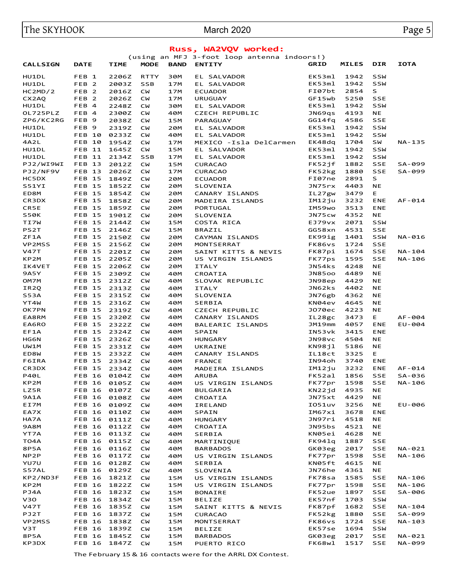# The SKYHOOK **Narch 2020** March 2020

| Russ, WA2VQV worked:       |                                |                |                        |             |                                             |                  |              |                         |                  |  |
|----------------------------|--------------------------------|----------------|------------------------|-------------|---------------------------------------------|------------------|--------------|-------------------------|------------------|--|
|                            |                                |                |                        |             | (using an MFJ 3-foot loop antenna indoors!) |                  |              |                         |                  |  |
| <b>CALLSIGN</b>            | <b>DATE</b>                    | <b>TIME</b>    | <b>MODE</b>            | <b>BAND</b> | <b>ENTITY</b>                               | <b>GRID</b>      | <b>MILES</b> | <b>DIR</b>              | <b>IOTA</b>      |  |
| HU1DL                      | FEB 1                          | 2206Z          | <b>RTTY</b>            | 30M         | EL SALVADOR                                 | EK53ml           | 1942         | <b>SSW</b>              |                  |  |
| HU1DL                      | FEB <sub>2</sub>               | 2003Z          | <b>SSB</b>             | 17M         | EL SALVADOR                                 | EK53ml           | 1942         | <b>SSW</b>              |                  |  |
| HC2MD/2                    | FEB <sub>2</sub>               | 2016Z          | <b>CW</b>              | 17M         | <b>ECUADOR</b>                              | FI07bt           | 2854         | S                       |                  |  |
| CX2AQ                      | FEB <sub>2</sub>               | 2026Z          | <b>CW</b>              | 17M         | <b>URUGUAY</b>                              | GF15wb           | 5250         | <b>SSE</b>              |                  |  |
| HU1DL                      | FEB 4                          | 2248Z          | <b>CW</b>              | 30M         | EL SALVADOR                                 | EK53ml           | 1942         | <b>SSW</b>              |                  |  |
| OL725PLZ<br>ZP6/KC2RG      | FEB 4<br>FEB <sub>9</sub>      | 2300Z          | <b>CW</b>              | 40M         | <b>CZECH REPUBLIC</b>                       | JN69qs           | 4193<br>4586 | NE<br><b>SSE</b>        |                  |  |
| HU1DL                      | FEB <sub>9</sub>               | 2038Z<br>2319Z | <b>CW</b><br><b>CW</b> | 15M<br>20M  | PARAGUAY<br>EL SALVADOR                     | GG14fq<br>EK53ml | 1942         | <b>SSW</b>              |                  |  |
| HU1DL                      | <b>FEB 10</b>                  | 0233Z          | <b>CW</b>              | 40M         | EL SALVADOR                                 | EK53ml           | 1942         | <b>SSW</b>              |                  |  |
| 4A2L                       | <b>FEB 10</b>                  | 1954Z          | <b>CW</b>              | 17M         | MEXICO -Isla DelCarmen                      | EK48dq           | 1704         | SW                      | NA-135           |  |
| HU1DL                      | <b>FEB 11</b>                  | 1645Z          | <b>CM</b>              | 15M         | EL SALVADOR                                 | EK53ml           | 1942         | SSW                     |                  |  |
| HU1DL                      | <b>FEB 11</b>                  | 2134Z          | <b>SSB</b>             | 17M         | EL SALVADOR                                 | EK53ml           | 1942         | <b>SSW</b>              |                  |  |
| PJ2/WI9WI                  | <b>FEB 13</b>                  | 2012Z          | <b>CM</b>              | 15M         | <b>CURACAO</b>                              | FK52jf           | 1882         | <b>SSE</b>              | SA-099           |  |
| PJ2/NF9V                   | <b>FEB 13</b>                  | 2026Z          | <b>CW</b>              | 17M         | <b>CURACAO</b>                              | FK52kg           | 1880         | <b>SSE</b>              | SA-099           |  |
| HC5DX                      | <b>FEB 15</b>                  | 1849Z          | <b>CW</b>              | 20M         | <b>ECUADOR</b>                              | FI07ne           | 2891         | S                       |                  |  |
| S51YI                      | <b>FEB 15</b>                  | 1852Z          | <b>CW</b>              | 20M         | SLOVENIA                                    | JN75rx           | 4403         | <b>NE</b>               |                  |  |
| ED8M                       | <b>FEB 15</b>                  | 1854Z          | <b>CW</b>              | 20M         | CANARY ISLANDS                              | IL27gw           | 3479         | Е                       |                  |  |
| CR3DX                      | <b>FEB 15</b>                  | 1858Z          | <b>CW</b>              | 20M         | MADEIRA ISLANDS                             | IM12ju           | 3232         | <b>ENE</b>              | $AF - 014$       |  |
| CR5E                       | <b>FEB 15</b>                  | 1859Z          | <b>CW</b>              | 20M         | PORTUGAL                                    | IM59wo           | 3513<br>4352 | <b>ENE</b><br><b>NE</b> |                  |  |
| <b>S50K</b><br><b>TI7W</b> | <b>FEB 15</b><br><b>FEB 15</b> | 1901Z<br>2144Z | <b>CW</b><br><b>CW</b> | 20M<br>15M  | SLOVENIA<br>COSTA RICA                      | JN75cw<br>EJ79vx | 2071         | <b>SSW</b>              |                  |  |
| PS2T                       | <b>FEB 15</b>                  | 2146Z          | <b>CW</b>              | 15M         | <b>BRAZIL</b>                               | GG58xn           | 4531         | <b>SSE</b>              |                  |  |
| ZF1A                       | <b>FEB 15</b>                  | 2150Z          | <b>CW</b>              | 20M         | CAYMAN ISLANDS                              | EK99ig           | 1401         | <b>SSW</b>              | NA-016           |  |
| VP2MSS                     | <b>FEB 15</b>                  | 2156Z          | CM                     | 20M         | MONTSERRAT                                  | FK86vs           | 1724         | <b>SSE</b>              |                  |  |
| <b>V47T</b>                | <b>FEB 15</b>                  | 2201Z          | <b>CW</b>              | 20M         | SAINT KITTS & NEVIS                         | FK87pi           | 1674         | <b>SSE</b>              | NA-104           |  |
| KP2M                       | <b>FEB 15</b>                  | 2205Z          | <b>CW</b>              | 20M         | US VIRGIN ISLANDS                           | FK77ps           | 1595         | <b>SSE</b>              | NA-106           |  |
| IK4VET                     | <b>FEB 15</b>                  | 2206Z          | <b>CW</b>              | 20M         | <b>ITALY</b>                                | JN54ks           | 4248         | <b>NE</b>               |                  |  |
| <b>9A5Y</b>                | <b>FEB 15</b>                  | 2309Z          | <b>CW</b>              | 40M         | CROATIA                                     | JN8500           | 4489         | NE                      |                  |  |
| OM7M                       | <b>FEB 15</b>                  | 2312Z          | <b>CW</b>              | 40M         | SLOVAK REPUBLIC                             | JN98ep           | 4429         | NE                      |                  |  |
| IR2Q                       | <b>FEB 15</b>                  | 2313Z          | <b>CW</b>              | 40M         | <b>ITALY</b>                                | JN62ks           | 4402         | <b>NE</b>               |                  |  |
| <b>S53A</b>                | <b>FEB 15</b>                  | 2315Z          | <b>CW</b>              | 40M         | SLOVENIA                                    | JN76gb           | 4362         | NE                      |                  |  |
| YT4W                       | <b>FEB 15</b>                  | 2316Z          | <b>CW</b>              | 40M         | <b>SERBIA</b>                               | KN04ev           | 4645         | NE<br><b>NE</b>         |                  |  |
| <b>OK7PN</b><br>EA8RM      | <b>FEB 15</b><br><b>FEB 15</b> | 2319Z<br>2320Z | <b>CW</b><br><b>CW</b> | 40M<br>40M  | <b>CZECH REPUBLIC</b><br>CANARY ISLANDS     | J070ec<br>IL28gc | 4223<br>3473 | Е                       | AF-004           |  |
| EA6RO                      | <b>FEB 15</b>                  | 2322Z          | <b>CW</b>              | 40M         | BALEARIC ISLANDS                            | JM19mm           | 4057         | <b>ENE</b>              | EU-004           |  |
| EF1A                       | <b>FEB 15</b>                  | 2324Z          | <b>CW</b>              | 40M         | SPAIN                                       | IN53vk           | 3415         | <b>ENE</b>              |                  |  |
| <b>HG6N</b>                | <b>FEB 15</b>                  | 2326Z          | <b>CW</b>              | 40M         | <b>HUNGARY</b>                              | JN98vc           | 4504         | NE                      |                  |  |
| UW1M                       | <b>FEB 15</b>                  | 2331Z          | <b>CW</b>              | 40M         | UKRAINE                                     | KN98jl           | 5186         | NE                      |                  |  |
| ED8W                       | <b>FEB 15</b>                  | 2332Z          | <b>CW</b>              | 40M         | CANARY ISLANDS                              | IL18ct           | 3325         | Е                       |                  |  |
| F6IRA                      | <b>FEB 15</b>                  | 2334Z          | <b>CW</b>              | 40M         | <b>FRANCE</b>                               | IN94oh           | 3740         | <b>ENE</b>              |                  |  |
| CR3DX                      | <b>FEB 15</b>                  | 2334Z          | <b>CW</b>              | 40M         | MADEIRA ISLANDS                             | IM12ju           | 3232         | <b>ENE</b>              | AF-014           |  |
| <b>P40L</b>                | FEB 16 0104Z CW                |                |                        | 40M         | <b>ARUBA</b>                                | FK52al           | 1856         | SSE                     | SA-036           |  |
| KP2M                       | <b>FEB 16</b>                  | 0105Z          | <b>CM</b>              | 40M         | US VIRGIN ISLANDS                           | FK77pr           | 1598         | <b>SSE</b>              | NA-106           |  |
| LZ5R<br><b>9A1A</b>        | <b>FEB 16</b><br><b>FEB 16</b> | 0107Z<br>0108Z | <b>CM</b><br><b>CM</b> | 40M<br>40M  | <b>BULGARIA</b><br>CROATIA                  | KN22jd<br>JN75xt | 4935<br>4429 | NE<br>NE                |                  |  |
| EI7M                       | <b>FEB 16</b>                  | 0109Z          | <b>CW</b>              | 40M         | IRELAND                                     | I051uv           | 3256         | NE                      | EU-006           |  |
| EA7X                       | <b>FEB 16</b>                  | 0110Z          | <b>CM</b>              | 40M         | SPAIN                                       | IM67xi           | 3678         | <b>ENE</b>              |                  |  |
| HA7A                       | <b>FEB 16</b>                  | 0111Z          | <b>CW</b>              | 40M         | <b>HUNGARY</b>                              | JN97ri           | 4518         | ΝE                      |                  |  |
| <b>9A8M</b>                | <b>FEB 16</b>                  | 0112Z          | <b>CM</b>              | 40M         | CROATIA                                     | JN95bs           | 4521         | ΝE                      |                  |  |
| YT7A                       | <b>FEB 16</b>                  | 0113Z          | <b>CM</b>              | 40M         | SERBIA                                      | KN05ei           | 4628         | NE                      |                  |  |
| TO4A                       | <b>FEB 16</b>                  | 0115Z          | <b>CW</b>              | 40M         | MARTINIQUE                                  | FK941q           | 1887         | <b>SSE</b>              |                  |  |
| 8P5A                       | <b>FEB 16</b>                  | 0116Z          | <b>CW</b>              | 40M         | <b>BARBADOS</b>                             | GK03eg           | 2017         | SSE                     | NA-021           |  |
| NP2P                       | <b>FEB 16</b>                  | 0117Z          | <b>CW</b>              | 40M         | US VIRGIN ISLANDS                           | FK77pr           | 1598         | SSE                     | NA-106           |  |
| YU7U                       | <b>FEB 16</b>                  | 0128Z          | <b>CW</b>              | 40M         | SERBIA                                      | KN05ft           | 4615         | ΝE                      |                  |  |
| S57AL                      | <b>FEB 16</b>                  | 0129Z          | <b>CM</b>              | 40M         | SLOVENIA                                    | JN76he           | 4361         | NE                      |                  |  |
| KP2/ND3F<br>KP2M           | <b>FEB 16</b>                  | 1821Z          | <b>CW</b>              | 15M         | US VIRGIN ISLANDS                           | FK78sa           | 1585<br>1598 | <b>SSE</b>              | NA-106           |  |
| PJ4A                       | <b>FEB 16</b><br><b>FEB 16</b> | 1822Z<br>1823Z | <b>CW</b><br><b>CM</b> | 15M<br>15M  | US VIRGIN ISLANDS<br>BONAIRE                | FK77pr<br>FK52ue | 1897         | SSE<br>SSE              | NA-106<br>SA-006 |  |
| V <sub>30</sub>            | <b>FEB 16</b>                  | 1834Z          | <b>CW</b>              | 15M         | BELIZE                                      | EK57nf           | 1703         | SSW                     |                  |  |
| <b>V47T</b>                | <b>FEB 16</b>                  | 1835Z          | <b>CM</b>              | 15M         | SAINT KITTS & NEVIS                         | FK87pf           | 1682         | SSE                     | NA-104           |  |
| PJ2T                       | <b>FEB 16</b>                  | 1837Z          | <b>CM</b>              | 15M         | <b>CURACAO</b>                              | FK52kg           | 1880         | SSE                     | SA-099           |  |
| VP2MSS                     | <b>FEB 16</b>                  | 1838Z          | <b>CW</b>              | 15M         | MONTSERRAT                                  | FK86vs           | 1724         | <b>SSE</b>              | NA-103           |  |
| V3T                        | <b>FEB 16</b>                  | 1839Z          | <b>CW</b>              | 15M         | <b>BELIZE</b>                               | EK57se           | 1694         | SSW                     |                  |  |
| 8P5A                       | <b>FEB 16</b>                  | 1845Z          | <b>CM</b>              | 15M         | <b>BARBADOS</b>                             | GK03eg           | 2017         | <b>SSE</b>              | NA-021           |  |
| KP3DX                      | <b>FEB 16</b>                  | 1847Z          | <b>CM</b>              | 15M         | PUERTO RICO                                 | FK68wl           | 1517         | SSE                     | NA-099           |  |

The February 15 & 16 contacts were for the ARRL DX Contest.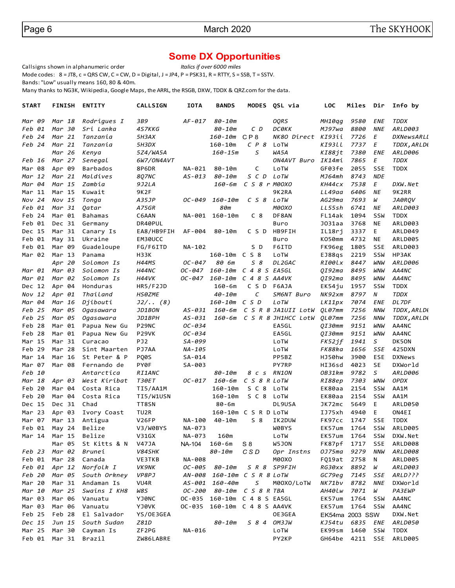# **Some DX Opportunities**<br> *Italics if over 6000 miles*

Callsigns shown in alphanumeric order Mode codes:  $8 = JTS$ ,  $c = QRS CW$ ,  $C = CW$ ,  $D = Digital$ ,  $J = JPA$ ,  $P = PSK31$ ,  $R = RTTY$ ,  $S = SSB$ ,  $T = SSTV$ .

Bands: "Low" usually means 160, 80 & 40m.

Many thanks to NG3K, Wikipedia, Google Maps, the ARRL, the RSGB, DXW, TDDX & QRZ.com for the data.

| START     | <b>FINISH</b>        | <b>ENTITY</b>           | <b>CALLSIGN</b>   | <b>IOTA</b> | <b>BANDS</b>                 |                             | MODES QSL via                     | <b>LOC</b>  | Miles           | Dir        | Info by                 |
|-----------|----------------------|-------------------------|-------------------|-------------|------------------------------|-----------------------------|-----------------------------------|-------------|-----------------|------------|-------------------------|
| Mar 09    | Mar 18               | Rodrigues I             | 3B9               | AF-017      | 80-10m                       |                             | <b>OQRS</b>                       | MH10qq      | 9580            | ENE        | <b>TDDX</b>             |
| Feb 01    | Mar 30               | Sri Lanka               | 4S7KKG            |             | 80-10m                       | $C$ D                       | <b>DC0KK</b>                      | MJ97wa      | 8800            | <b>NNE</b> | ARLD003                 |
| Feb 24    | Mar 21               | Tanzania                | 5H3AX             |             | 160-10m                      | CP <sub>8</sub>             | NK80 Direct KI93ii                |             | 7726            | Е          | DXNewsARLL              |
| Feb 24    | Mar 21               | Tanzania                | 5H3DX             |             | $160 - 10m$                  | CP 8                        | LoTW                              | KI93LL      | 7737            | Ε          | TDDX, ARLD(             |
|           | Mar 26               | Kenya                   | 5Z4/WA5A          |             | 160-15m                      | S                           | WA5A                              | KI88jt      | 7380            | <b>ENE</b> | ARLD006                 |
| Feb 16    | Mar 27               | Senegal                 | 6W7/ON4AVT        |             |                              |                             | ON4AVT Buro                       | IK14mi      | 7865            | Ε          | TDDX                    |
| Mar 08    | Apr 09               | <b>Barbados</b>         | 8P6DR             | NA-021      | 80-10m                       | C                           | LoTW                              | GF03fe      | 2055            | <b>SSE</b> | <b>TDDX</b>             |
| Mar 12    | Mar 21               | Maldives                | 8Q7NC             | AS-013      | 80-10m                       | S C D                       | LoTW                              | MJ64mh      | 8743            | <b>NDE</b> |                         |
| Mar 04    | Mar 15               | Zambia                  | 9J2LA             |             | 160-6m                       | $C$ S $8$ $r$ $M\theta$ OXO |                                   | КН44сх      | 7538            | Ε          | DXW.Net                 |
| Mar 11    | Mar 15               | Kuwait                  | 9K2F              |             |                              |                             | 9K2RA                             | LL49aa      | 6406            | ΝE         | 9K2RR                   |
| Nov 24    | Nov 15               | Tonga                   | A35JP             | OC-049      | 160-10m                      | C S 8                       | LoTW                              | AG29ma      | 7693            | W          | JA0ROV                  |
| Feb 01    | Mar 31               | Qatar                   | A75GR             |             | <b>80m</b>                   |                             | M0OXO                             | LL55sh      | 6741            | ΝE         | ARLD003                 |
| Feb 24    | Mar 01               | Bahamas                 | C6AAN             | NA-001      | 160-10m                      | C <sub>8</sub>              | DF8AN                             | FL14ak      | 1094            | SSW        | <b>TDDX</b>             |
| Feb 01    | Dec 31               | Germany                 | DR40PUL           |             |                              |                             | Buro                              | J031aa      | 3768            | <b>NE</b>  | ARLD003                 |
| Dec 15    | Mar 31               | Canary Is               | EA8/HB9FIH        | AF-004      | 80-10m                       | C S D                       | HB9FIH                            | IL18rj      | 3337            | E          | ARLD049                 |
| Feb 01    | May $31$             | Ukraine                 | EM30UCC           |             |                              |                             | Buro                              | KO50mm      | 4732            | <b>NE</b>  | ARLD005                 |
| Feb 01    | Mar 09               | Guadeloupe              | FG/F6ITD          | NA-102      |                              | S D                         | F6ITD                             | FK96eg      | 1805            | <b>SSE</b> | ARLD003                 |
| Mar 02    | Mar 13               | Panama                  | H33K              |             | 160-10m C S 8                |                             | LoTW                              | EJ88qs      | 2219            | SSW        | HP3AK                   |
|           | Apr 20               | Solomon Is              | H44MS             | OC-047      | 80 6m                        | 58                          | DL2GAC                            | RI00lx      | 8447            | WNW        | ARLD006                 |
| Mar 01    | Mar 03               | Solomon Is              | H44NC             | OC-047      | 160-10m                      | C 4 8 S EA5GL               |                                   | QI92ma      | 8495            | WNW        | AA4NC                   |
| Mar 01    | Mar 02               | Solomon Is              | H44VK             | $OC - 047$  | 160-10m                      | $C$ 4 8 5 AA4VK             |                                   | QI92ma      | 8495            | WNW        | AA4NC                   |
| Dec 12    | Apr 04               | Honduras                | <b>HR5/F2JD</b>   |             | $160 - 6m$                   | C S D                       | F6AJA                             | EK54ju      | 1957            | SSW        | <b>TDDX</b>             |
| $Nov$ 12  | Apr 01               | Thailand                | <b>HS0ZME</b>     |             | $40 - 10m$                   | С                           | SM6NT Buro                        | NK92xm      | 8797            | N          | <b>TDDX</b>             |
| Mar 04    | Mar 16               | Djibouti                | J2/ (8)           |             | 160-10m C S D                |                             | LoTW                              | LK11px      | 7074            | ENE        | DL7DF                   |
| Feb 25    | Mar 05               | Ogasawara               | JD1BON            | AS-031      | 160-6m                       |                             | C S R 8 JA1UII LotW QL07mm        |             | 7256            | <b>NNW</b> | TDDX, ARLD(             |
| Feb 25    | Mar 05               | Ogasawara               | JD1BPH            | $AS - 031$  |                              |                             | 160-6m C S R 8 JH1HCC LotW QL07mm |             | 7256            | <b>NNW</b> | TDDX, ARLD(             |
| Feb 28    | Mar 01               | Papua New Gu            | P29NC             | $OC - 034$  |                              |                             | EA5GL                             | OI30mm      | 9151            | <b>WNW</b> | AA4NC                   |
| 28<br>Feb | Mar 01               | Papua New Gu            | P <sub>29VK</sub> | OC-034      |                              |                             | EA5GL                             | QI30mm      | 9151            | WNW        | AA4NC                   |
| Mar 15    | Mar 31               | Curacao                 | PJ <sub>2</sub>   | SA-099      |                              |                             | LoTW                              | FK52jf      | 1941            | S          | DK50N                   |
| Feb 29    | Mar 28               | Sint Maarten            | PJ7AA             | NA-105      |                              |                             | LoTW                              | FK88ka      | 1656            | SSE        | 425DXN                  |
| Mar 14    | Mar 16               | St Peter & P            | PQ0S              | SA-014      |                              |                             | PP5BZ                             | HJ50hw      | 3900            | <b>ESE</b> | <b>DXNews</b>           |
| Mar 07    | Mar 08               | Fernando de             | PY0F              | SA-003      |                              |                             | PY7RP                             | HI36sd      | 4023            | <b>SE</b>  | DXWorld                 |
| Feb 10    |                      | Antarctica              | <i>RI1ANC</i>     |             | 80-10m                       | 8 c s                       | RN1ON                             | OB31km      | 9782            | S          | ARLD006                 |
| Mar 18    | Apr 03               | West Kiribat            | <b>T30ET</b>      | OC-017      | 160-6m                       | C S 8 R LOTW                |                                   | RI88ep      | 7303            | WNW        | OPDX                    |
| Feb 20    | Mar 04               | Costa Rica              | TI5/AA1M          |             | $160 - 10m$                  | SC <sub>8</sub>             | LoTW                              | EK80aa      | 2154            | SSW        | AA1M                    |
| Feb 20    | Mar 04               | Costa Rica              | TI5/W1USN         |             | $160 - 10m$                  | SC 8                        | LoTW                              | EK80aa      | 2154            | SSW        | AA1M                    |
| Dec 15    | Dec 31               | Chad                    | TT8SN             |             | 80-6m                        |                             | DL9USA                            | JK72mc      | 5649            | Ε          | ARLD050                 |
| Mar 23    | Apr 03               | Ivory Coast             | TU2R              |             |                              | 160-10m C S R D LoTW        |                                   | IJ75xh      | 4940            | Е          | ON4EI                   |
| Mar 07    | Mar 13               | Antigua                 | V26FP             | NA-100      | $40 - 10m$                   | S 8                         | IK2DUW                            | FK97cc      | 1747            | SSE        | <b>TDDX</b>             |
| Feb 01    | May 24               | Belize                  | V3/W0BYS          | NA-073      |                              |                             | W0BYS                             | EK57um      | 1764            | SSW        | ARLD005                 |
|           | Mar 14 Mar 15 Belize |                         | V31GX             |             | NA-073 160m                  |                             | LoTW                              | EK57um 1764 |                 |            | SSW DXW.Net             |
|           |                      | Mar 05 St Kitts & N     | V47JA             | NA-104      | 160-6m                       | S 8                         | W5JON                             | FK87pf 1717 |                 | SSE        | ARLD008                 |
| Feb 23    | Mar 02               | Brunei                  | V84SHK            |             | 80-10m                       | CSD                         | Opr Instns                        | 0J75ma      | 9279            | <b>NNW</b> | ARLD008                 |
| Feb 01    | Mar 28               | Canada                  | VE3TKB            | NA-008      |                              |                             | M0OXO                             | FQ19at      | 2758            | N          | <b>ARLD005</b>          |
|           |                      | Feb 01 Apr 12 Norfolk I | VK9NK             |             | OC-005 80-10m                |                             | S R 8 SP9FIH                      | RG30xx      | 8892            | W          | ARLD003                 |
| Feb 20    | Mar 05               | South Orkney            | VP8PJ             |             | AN-008 160-10m C S R 8 LoTW  |                             |                                   | GC79eg      | 7145            | SSE        | ARLD???                 |
| Mar 20    | Mar 31               | Andaman Is              | VU4R              |             | AS-001 160-40m               | S                           | M00X0/LoTW                        | NK71bv      | 8782            | <b>NNE</b> | DXWorld                 |
| Mar 10    | Mar 25               | Swains I KH8            | W8S               |             | OC-200 80-10m C S 8 R TBA    |                             |                                   | AH40Lw      | 7071            | W          | PA3EWP                  |
| Mar 03    | Mar 06               | Vanuatu                 | YJ0NC             |             | OC-035 160-10m C 4 8 S EA5GL |                             |                                   | EK57um      | 1764            | SSW        | AA4NC                   |
| Mar 03    | Mar 06               | Vanuatu                 | YJ0VK             |             | OC-035 160-10m C 4 8 S AA4VK |                             |                                   | EK57um      | 1764            | SSW        | AA4NC                   |
| Feb 25    | Feb 28               | El Salvador             | YS/OE3GEA         |             |                              |                             | OE3GEA                            |             | EK54ma 2003 SSW |            | DXW.Net                 |
| Dec 15    | Jun 15               | South Sudan             | Z81D              |             | 80-10m                       | S 8 4 OM3JW                 |                                   | KJ54tu      | 6835            | ENE        | ARLD050                 |
| Mar 25    | Mar 30               | Cayman Is               | ZF2PG             | NA-016      |                              |                             | LoTW                              | EK99sm      | 1460            | SSW        | <b>TDDX</b>             |
|           | Feb 01 Mar 31 Brazil |                         | ZW86LABRE         |             |                              |                             | PY2KP                             |             |                 |            | GH64be 4211 SSE ARLD005 |
|           |                      |                         |                   |             |                              |                             |                                   |             |                 |            |                         |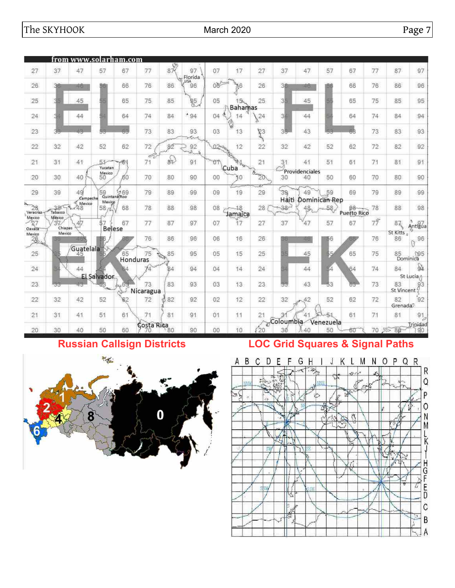|                                                                |                         | from www.solarham.com |                      |                      |                          |                           |                |                 |                                   |         |                 |                      |                 |             |                |                                      |                      |
|----------------------------------------------------------------|-------------------------|-----------------------|----------------------|----------------------|--------------------------|---------------------------|----------------|-----------------|-----------------------------------|---------|-----------------|----------------------|-----------------|-------------|----------------|--------------------------------------|----------------------|
| 27                                                             | 37                      | 47                    | 57                   | 67                   | 77                       | 87.00                     | 97             | 07              | 17                                | 27      | 37              | 47                   | 57              | 67          | 77             | 87                                   | 97                   |
| 26                                                             | 30                      | rió.                  | 561                  | 66                   | 76                       | 86                        | Florida<br>96  | 08 <sup>4</sup> | 6                                 | 26      | 38              | 16                   |                 | 66          | 76             | 86                                   | 96                   |
| 25                                                             |                         | 45                    |                      | 65                   | 75                       | 85                        | $\frac{95}{8}$ | 05              | 15 <sub>h</sub><br><b>Bahamas</b> | 25      | 31              | 45                   |                 | 65          | 75             | 85                                   | 95                   |
| 24                                                             |                         | 44                    |                      | 64                   | 74                       | 84                        | $-94$          | Ø.<br>04        | 14                                | 24<br>a | 31              | 44                   |                 | 64          | 74             | 84                                   | 94                   |
| 23                                                             | 38                      | 48                    | 弱                    | 63                   | 73                       | 83                        | 93             | 03              | ١<br>13                           | R3      | 35              | 43                   | -55             | 68          | 73             | 83                                   | 93                   |
| 22                                                             | 32                      | 42                    | 52                   | 62                   | 72                       | 82                        | 92<br>Ŵ        | $02 - 1$        | 12                                | 22      | 32              | 42                   | 52              | 62          | 72             | 82                                   | 92                   |
| 21                                                             | 31                      | 41                    | 51<br>Yucatan        | $-61$                | c.<br>71                 | $84^3$                    | 91             | $\sigma$        | <b>Allace</b><br>Cuba             | 21      | 31              | 41                   | 51              | 61          | 71             | 81                                   | 91                   |
| 20                                                             | 30                      | 40                    | Mexico<br>50         | 60                   | 70                       | 80                        | 90             | 00              | 30                                | Room 20 | 30              | Providenciales<br>40 | 50              | 60          | 70             | 80                                   | 90                   |
| 29                                                             | 39                      | 49<br>Campeche        | 59                   | 9 59<br>Quintana/Roo | 79                       | 89                        | 99             | 09              | 19                                | 29      | 39              | 49                   | 59              | 69          | 79             | 89                                   | 99                   |
| $28$<br>Veracruz                                               | $-38$                   | Mexico<br>$-48$       | Mexico<br>58         | 68                   | 78                       | 88                        | 98             | 08              | 18<br>Jamaica                     | 28      | Haiti<br>$38 -$ | Dominican Rep<br>48  | 58,             | Puerto Rico | 78             | 88                                   | 98                   |
| Mexico<br>$\frac{27}{27}$                                      | Mexico<br>37<br>Chiapas | 47                    | \$7<br><b>Belese</b> | 67                   | 77                       | 87                        | 97             | 07              | $\widetilde{17}$                  | 27      | 37              | $\frac{4}{7}$        | 57              | 67          | $7\frac{6}{7}$ | $\mathbf{8}$ $\mathbf{\overline{5}}$ | Antigua              |
| $\begin{array}{r}\n\text{Mexico} \\ 26 \\ \hline\n\end{array}$ | Mexico                  |                       |                      |                      | 76                       | 86                        | 96             | 06              | 16                                | 26      | 56              | 48                   | 56              |             | 76             | St Kitts<br>86                       | 96<br>$\alpha$       |
| 25                                                             |                         | Guatelala<br>45       |                      | 65<br>Honduras       | 75                       | 85<br>$\sum_{\mathbf{k}}$ | 95             | 05              | 15                                | 25      |                 | 45                   | \$5             | 65          | 75             |                                      | 85 MP5               |
| 24                                                             |                         | 44                    |                      |                      | 74                       | Ŗ4                        | 94             | 04              | $\frac{1}{4}$                     | $^{24}$ |                 | 44                   | 54              | 64          | 74             | 84                                   | Q1                   |
| 23                                                             | 33                      | 43                    | El Salvador.         | 63                   | 73                       | 83                        | 93             | 03              | 13                                | 23      | 55              | 43                   | 53              | 65          | 73             | 83<br>St Vincent                     | St Lucia/<br>$8^{3}$ |
| 22                                                             | 32                      | 42                    | 52                   | 82                   | Nicaragua<br>72          | 82<br>B                   | 92             | 02              | 12                                | 22      | 32              | 42                   | 52              | 62          | 72             | 82<br>Grenada <sup>2</sup>           | 92                   |
| 21                                                             | 31                      | 41                    | 51                   | 61                   | 71                       | 81                        | 91             | 01              | 11                                | 21      | 31              | 41                   |                 | 61          | 71             | 81                                   | 91<br>Þ              |
| 20                                                             | 30                      | 40                    | 50                   | 60                   | <b>Costa Rica</b><br>-70 | 80                        | 90             | 00              | 10                                | Ø<br>20 | Coloumbia<br>30 | 40                   | Venezuela<br>50 | 60          |                | 70 后 80                              | Trinidad<br>90       |

# **Russian Callsign Districts LOC Grid Squares & Signal Paths**